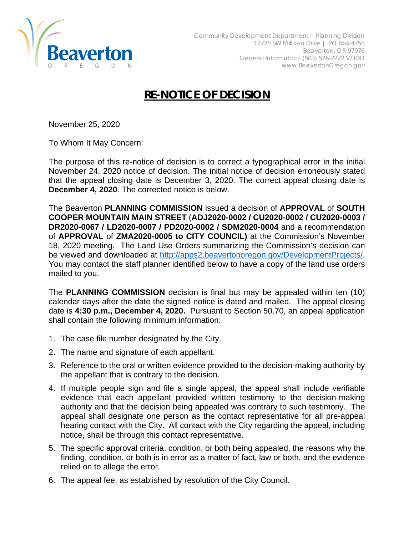

## **RE-NOTICE OF DECISION**

November 25, 2020

To Whom It May Concern:

The purpose of this re-notice of decision is to correct a typographical error in the initial November 24, 2020 notice of decision. The initial notice of decision erroneously stated that the appeal closing date is December 3, 2020. The correct appeal closing date is **December 4, 2020**. The corrected notice is below.

The Beaverton **PLANNING COMMISSION** issued a decision of **APPROVAL** of **SOUTH COOPER MOUNTAIN MAIN STREET** (**ADJ2020-0002 / CU2020-0002 / CU2020-0003 / DR2020-0067 / LD2020-0007 / PD2020-0002 / SDM2020-0004** and a recommendation of **APPROVAL** of **ZMA2020-0005 to CITY COUNCIL)** at the Commission's November 18, 2020 meeting. The Land Use Orders summarizing the Commission's decision can be viewed and downloaded at [http://apps2.beavertonoregon.gov/DevelopmentProjects/.](http://apps2.beavertonoregon.gov/DevelopmentProjects/) You may contact the staff planner identified below to have a copy of the land use orders mailed to you.

The **PLANNING COMMISSION** decision is final but may be appealed within ten (10) calendar days after the date the signed notice is dated and mailed. The appeal closing date is **4:30 p.m., December 4, 2020.** Pursuant to Section 50.70, an appeal application shall contain the following minimum information:

- 1. The case file number designated by the City.
- 2. The name and signature of each appellant.
- 3. Reference to the oral or written evidence provided to the decision-making authority by the appellant that is contrary to the decision.
- 4. If multiple people sign and file a single appeal, the appeal shall include verifiable evidence that each appellant provided written testimony to the decision-making authority and that the decision being appealed was contrary to such testimony. The appeal shall designate one person as the contact representative for all pre-appeal hearing contact with the City. All contact with the City regarding the appeal, including notice, shall be through this contact representative.
- 5. The specific approval criteria, condition, or both being appealed, the reasons why the finding, condition, or both is in error as a matter of fact, law or both, and the evidence relied on to allege the error.
- 6. The appeal fee, as established by resolution of the City Council.